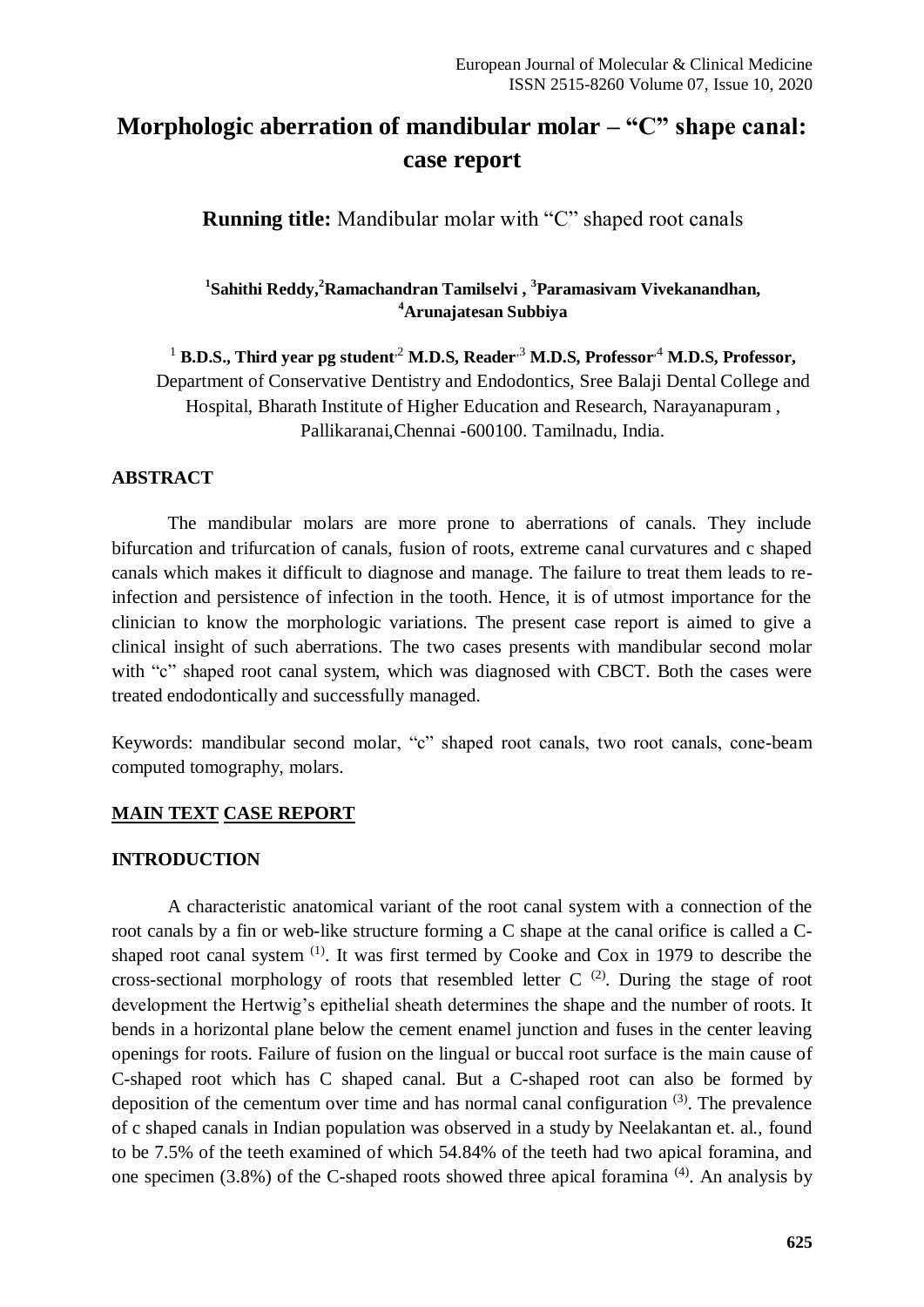# **Morphologic aberration of mandibular molar – "C" shape canal: case report**

**Running title:** Mandibular molar with "C" shaped root canals

**1 Sahithi Reddy, <sup>2</sup>Ramachandran Tamilselvi , <sup>3</sup>Paramasivam Vivekanandhan, <sup>4</sup>Arunajatesan Subbiya**

<sup>1</sup> B.D.S., Third year pg student<sup>2</sup> M.D.S, Reader<sup>3</sup> M.D.S, Professor<sup>4</sup> M.D.S, Professor, Department of Conservative Dentistry and Endodontics, Sree Balaji Dental College and Hospital, Bharath Institute of Higher Education and Research, Narayanapuram , Pallikaranai,Chennai -600100. Tamilnadu, India.

## **ABSTRACT**

The mandibular molars are more prone to aberrations of canals. They include bifurcation and trifurcation of canals, fusion of roots, extreme canal curvatures and c shaped canals which makes it difficult to diagnose and manage. The failure to treat them leads to reinfection and persistence of infection in the tooth. Hence, it is of utmost importance for the clinician to know the morphologic variations. The present case report is aimed to give a clinical insight of such aberrations. The two cases presents with mandibular second molar with "c" shaped root canal system, which was diagnosed with CBCT. Both the cases were treated endodontically and successfully managed.

Keywords: mandibular second molar, "c" shaped root canals, two root canals, cone-beam computed tomography, molars.

## **MAIN TEXT CASE REPORT**

## **INTRODUCTION**

A characteristic anatomical variant of the root canal system with a connection of the root canals by a fin or web-like structure forming a C shape at the canal orifice is called a Cshaped root canal system  $(1)$ . It was first termed by Cooke and Cox in 1979 to describe the cross-sectional morphology of roots that resembled letter  $C^{(2)}$ . During the stage of root development the Hertwig's epithelial sheath determines the shape and the number of roots. It bends in a horizontal plane below the cement enamel junction and fuses in the center leaving openings for roots. Failure of fusion on the lingual or buccal root surface is the main cause of C-shaped root which has C shaped canal. But a C-shaped root can also be formed by deposition of the cementum over time and has normal canal configuration  $(3)$ . The prevalence of c shaped canals in Indian population was observed in a study by Neelakantan et. al., found to be 7.5% of the teeth examined of which 54.84% of the teeth had two apical foramina, and one specimen  $(3.8\%)$  of the C-shaped roots showed three apical foramina  $(4)$ . An analysis by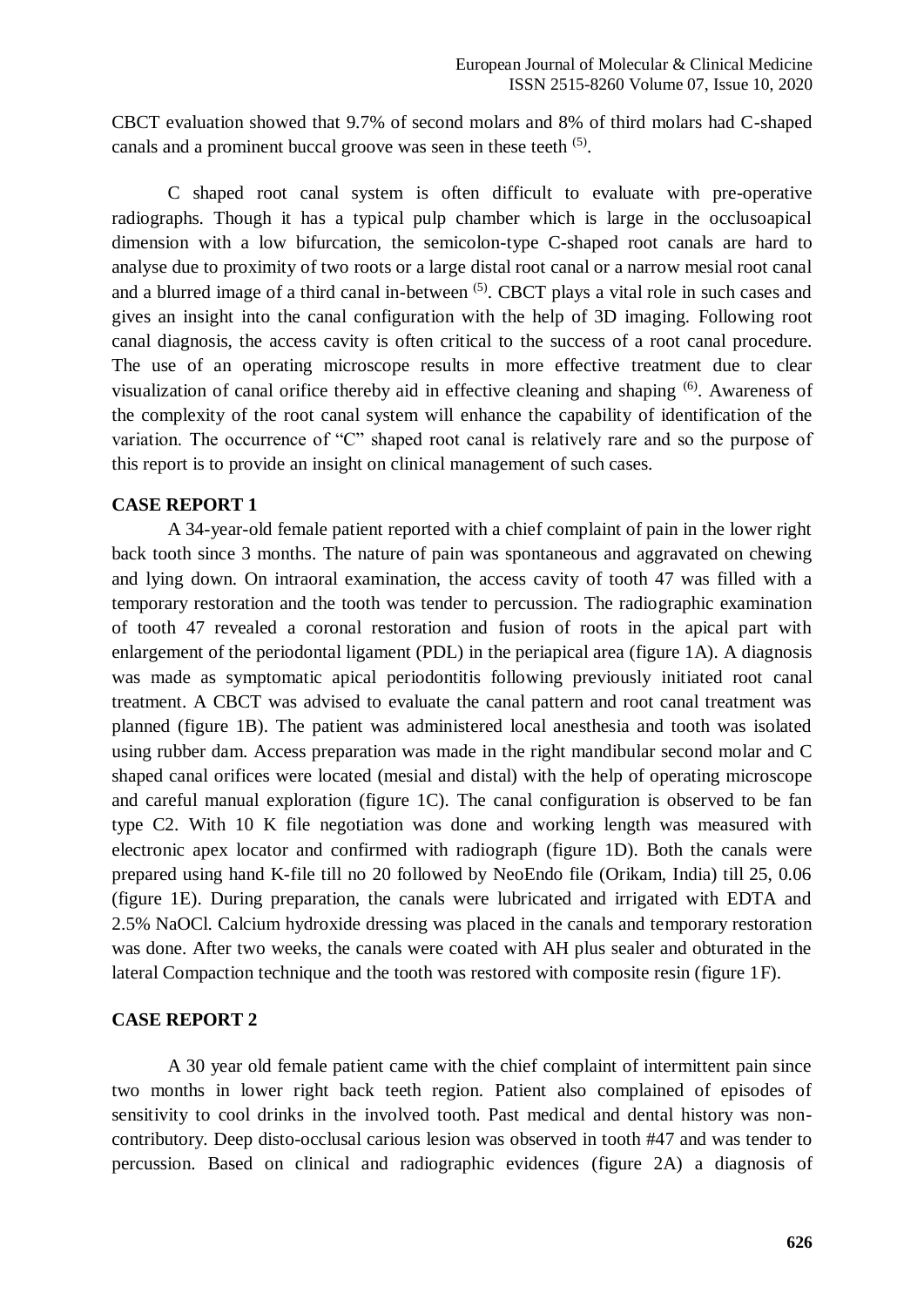CBCT evaluation showed that 9.7% of second molars and 8% of third molars had C-shaped canals and a prominent buccal groove was seen in these teeth  $<sup>(5)</sup>$ .</sup>

C shaped root canal system is often difficult to evaluate with pre-operative radiographs. Though it has a typical pulp chamber which is large in the occlusoapical dimension with a low bifurcation, the semicolon-type C-shaped root canals are hard to analyse due to proximity of two roots or a large distal root canal or a narrow mesial root canal and a blurred image of a third canal in-between <sup>(5)</sup>. CBCT plays a vital role in such cases and gives an insight into the canal configuration with the help of 3D imaging. Following root canal diagnosis, the access cavity is often critical to the success of a root canal procedure. The use of an operating microscope results in more effective treatment due to clear visualization of canal orifice thereby aid in effective cleaning and shaping <sup>(6)</sup>. Awareness of the complexity of the root canal system will enhance the capability of identification of the variation. The occurrence of "C" shaped root canal is relatively rare and so the purpose of this report is to provide an insight on clinical management of such cases.

#### **CASE REPORT 1**

A 34-year-old female patient reported with a chief complaint of pain in the lower right back tooth since 3 months. The nature of pain was spontaneous and aggravated on chewing and lying down. On intraoral examination, the access cavity of tooth 47 was filled with a temporary restoration and the tooth was tender to percussion. The radiographic examination of tooth 47 revealed a coronal restoration and fusion of roots in the apical part with enlargement of the periodontal ligament (PDL) in the periapical area (figure 1A). A diagnosis was made as symptomatic apical periodontitis following previously initiated root canal treatment. A CBCT was advised to evaluate the canal pattern and root canal treatment was planned (figure 1B). The patient was administered local anesthesia and tooth was isolated using rubber dam. Access preparation was made in the right mandibular second molar and C shaped canal orifices were located (mesial and distal) with the help of operating microscope and careful manual exploration (figure 1C). The canal configuration is observed to be fan type C2. With 10 K file negotiation was done and working length was measured with electronic apex locator and confirmed with radiograph (figure 1D). Both the canals were prepared using hand K-file till no 20 followed by NeoEndo file (Orikam, India) till 25, 0.06 (figure 1E). During preparation, the canals were lubricated and irrigated with EDTA and 2.5% NaOCl. Calcium hydroxide dressing was placed in the canals and temporary restoration was done. After two weeks, the canals were coated with AH plus sealer and obturated in the lateral Compaction technique and the tooth was restored with composite resin (figure 1F).

#### **CASE REPORT 2**

A 30 year old female patient came with the chief complaint of intermittent pain since two months in lower right back teeth region. Patient also complained of episodes of sensitivity to cool drinks in the involved tooth. Past medical and dental history was noncontributory. Deep disto-occlusal carious lesion was observed in tooth #47 and was tender to percussion. Based on clinical and radiographic evidences (figure 2A) a diagnosis of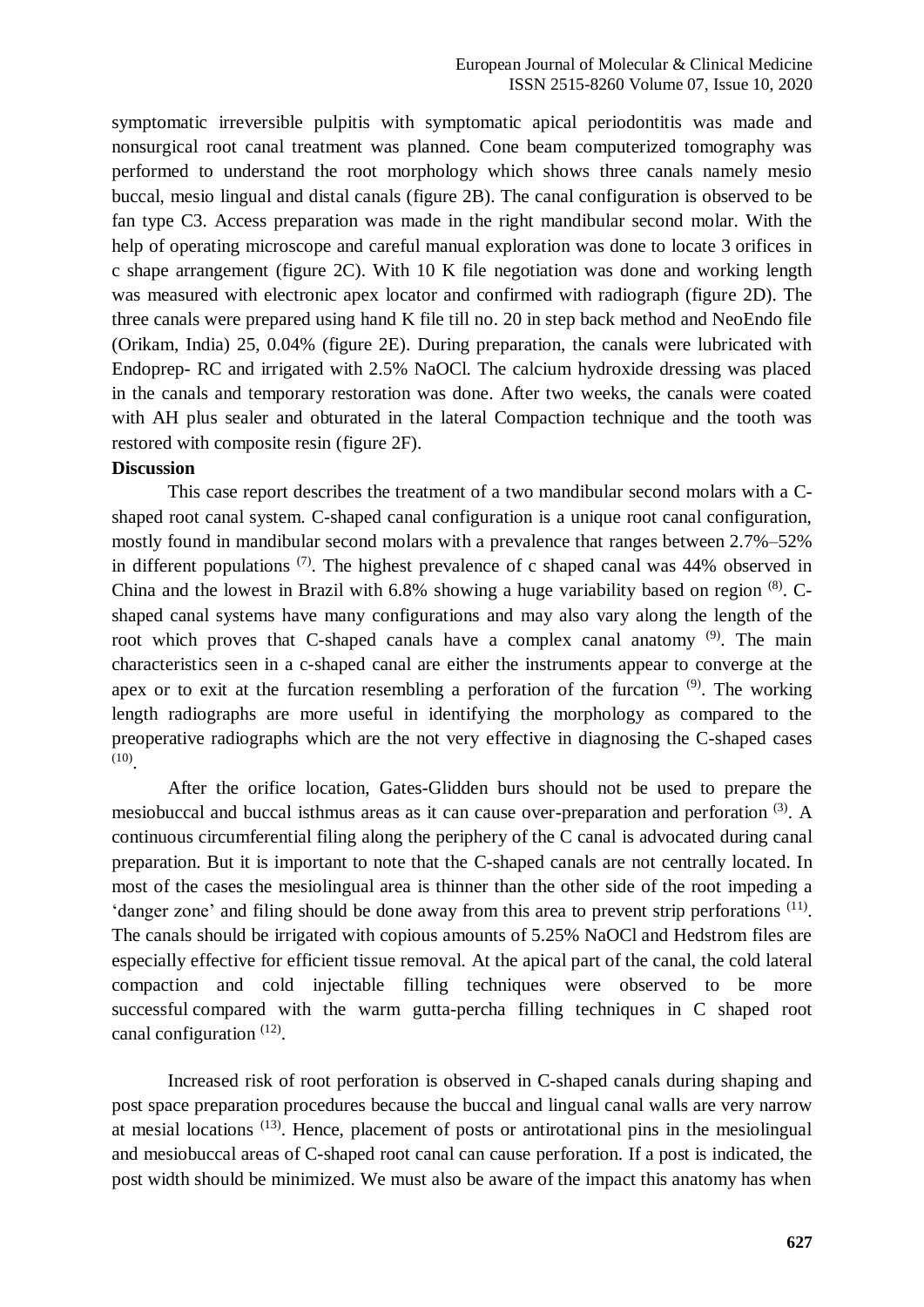symptomatic irreversible pulpitis with symptomatic apical periodontitis was made and nonsurgical root canal treatment was planned. Cone beam computerized tomography was performed to understand the root morphology which shows three canals namely mesio buccal, mesio lingual and distal canals (figure 2B). The canal configuration is observed to be fan type C3. Access preparation was made in the right mandibular second molar. With the help of operating microscope and careful manual exploration was done to locate 3 orifices in c shape arrangement (figure 2C). With 10 K file negotiation was done and working length was measured with electronic apex locator and confirmed with radiograph (figure 2D). The three canals were prepared using hand K file till no. 20 in step back method and NeoEndo file (Orikam, India) 25, 0.04% (figure 2E). During preparation, the canals were lubricated with Endoprep- RC and irrigated with 2.5% NaOCl. The calcium hydroxide dressing was placed in the canals and temporary restoration was done. After two weeks, the canals were coated with AH plus sealer and obturated in the lateral Compaction technique and the tooth was restored with composite resin (figure 2F).

#### **Discussion**

This case report describes the treatment of a two mandibular second molars with a Cshaped root canal system. C-shaped canal configuration is a unique root canal configuration, mostly found in mandibular second molars with a prevalence that ranges between 2.7%–52% in different populations  $(7)$ . The highest prevalence of c shaped canal was 44% observed in China and the lowest in Brazil with 6.8% showing a huge variability based on region <sup>(8)</sup>. Cshaped canal systems have many configurations and may also vary along the length of the root which proves that C-shaped canals have a complex canal anatomy  $(9)$ . The main characteristics seen in a c-shaped canal are either the instruments appear to converge at the apex or to exit at the furcation resembling a perforation of the furcation  $(9)$ . The working length radiographs are more useful in identifying the morphology as compared to the preoperative radiographs which are the not very effective in diagnosing the C-shaped cases  $(10)$ .

After the orifice location, Gates-Glidden burs should not be used to prepare the mesiobuccal and buccal isthmus areas as it can cause over-preparation and perforation <sup>(3)</sup>. A continuous circumferential filing along the periphery of the C canal is advocated during canal preparation. But it is important to note that the C-shaped canals are not centrally located. In most of the cases the mesiolingual area is thinner than the other side of the root impeding a 'danger zone' and filing should be done away from this area to prevent strip perforations <sup>(11)</sup>. The canals should be irrigated with copious amounts of 5.25% NaOCl and Hedstrom files are especially effective for efficient tissue removal. At the apical part of the canal, the cold lateral compaction and cold injectable filling techniques were observed to be more successful compared with the warm gutta-percha filling techniques in C shaped root canal configuration<sup>(12)</sup>.

Increased risk of root perforation is observed in C-shaped canals during shaping and post space preparation procedures because the buccal and lingual canal walls are very narrow at mesial locations<sup>(13)</sup>. Hence, placement of posts or antirotational pins in the mesiolingual and mesiobuccal areas of C-shaped root canal can cause perforation. If a post is indicated, the post width should be minimized. We must also be aware of the impact this anatomy has when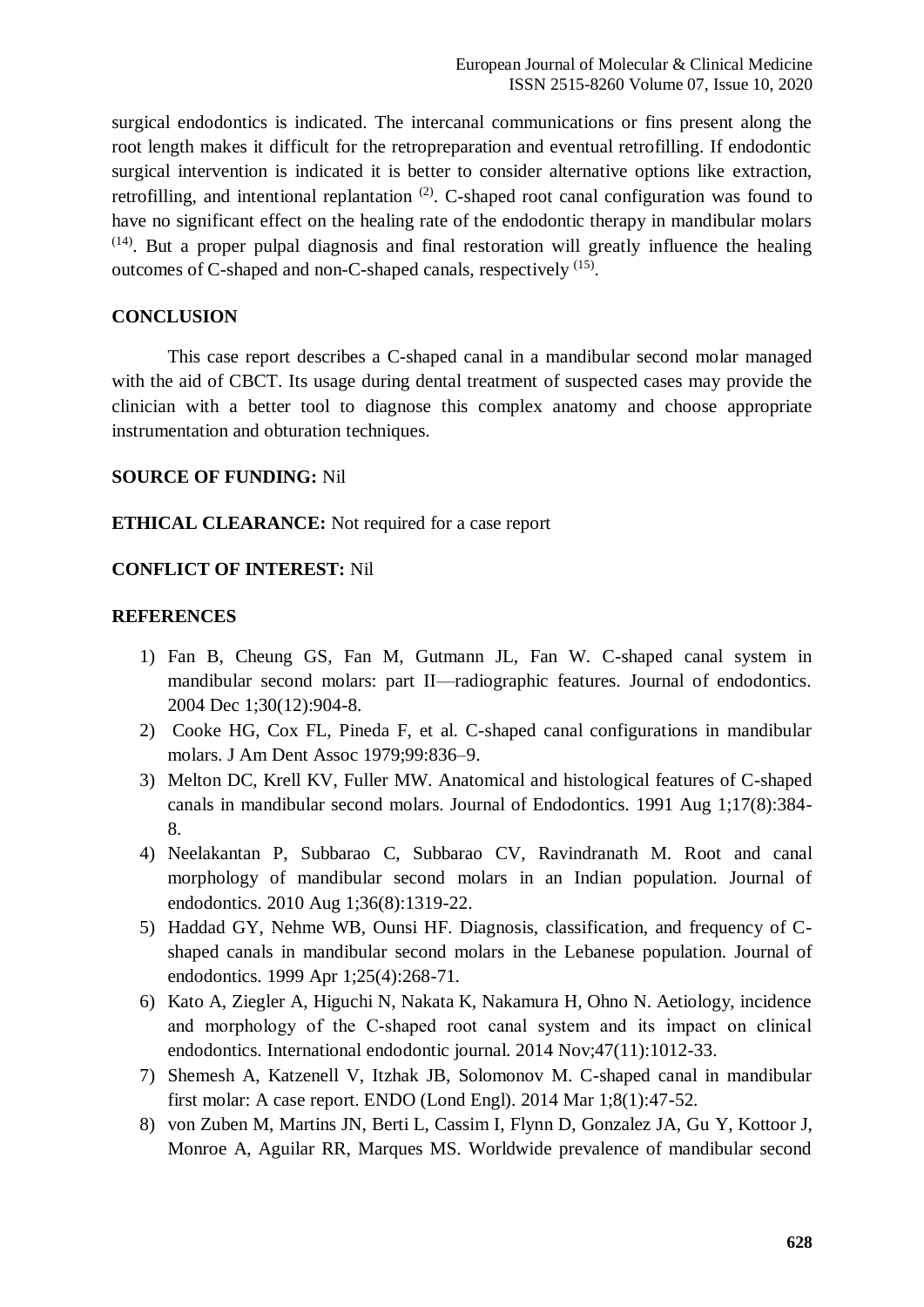surgical endodontics is indicated. The intercanal communications or fins present along the root length makes it difficult for the retropreparation and eventual retrofilling. If endodontic surgical intervention is indicated it is better to consider alternative options like extraction, retrofilling, and intentional replantation  $(2)$ . C-shaped root canal configuration was found to have no significant effect on the healing rate of the endodontic therapy in mandibular molars  $(14)$ . But a proper pulpal diagnosis and final restoration will greatly influence the healing outcomes of C-shaped and non-C-shaped canals, respectively <sup>(15)</sup>.

## **CONCLUSION**

This case report describes a C-shaped canal in a mandibular second molar managed with the aid of CBCT. Its usage during dental treatment of suspected cases may provide the clinician with a better tool to diagnose this complex anatomy and choose appropriate instrumentation and obturation techniques.

## **SOURCE OF FUNDING:** Nil

## **ETHICAL CLEARANCE:** Not required for a case report

# **CONFLICT OF INTEREST:** Nil

## **REFERENCES**

- 1) Fan B, Cheung GS, Fan M, Gutmann JL, Fan W. C-shaped canal system in mandibular second molars: part II—radiographic features. Journal of endodontics. 2004 Dec 1;30(12):904-8.
- 2) Cooke HG, Cox FL, Pineda F, et al. C-shaped canal configurations in mandibular molars. J Am Dent Assoc 1979;99:836–9.
- 3) Melton DC, Krell KV, Fuller MW. Anatomical and histological features of C-shaped canals in mandibular second molars. Journal of Endodontics. 1991 Aug 1;17(8):384- 8.
- 4) Neelakantan P, Subbarao C, Subbarao CV, Ravindranath M. Root and canal morphology of mandibular second molars in an Indian population. Journal of endodontics. 2010 Aug 1;36(8):1319-22.
- 5) Haddad GY, Nehme WB, Ounsi HF. Diagnosis, classification, and frequency of Cshaped canals in mandibular second molars in the Lebanese population. Journal of endodontics. 1999 Apr 1;25(4):268-71.
- 6) Kato A, Ziegler A, Higuchi N, Nakata K, Nakamura H, Ohno N. Aetiology, incidence and morphology of the C-shaped root canal system and its impact on clinical endodontics. International endodontic journal. 2014 Nov;47(11):1012-33.
- 7) Shemesh A, Katzenell V, Itzhak JB, Solomonov M. C-shaped canal in mandibular first molar: A case report. ENDO (Lond Engl). 2014 Mar 1;8(1):47-52.
- 8) von Zuben M, Martins JN, Berti L, Cassim I, Flynn D, Gonzalez JA, Gu Y, Kottoor J, Monroe A, Aguilar RR, Marques MS. Worldwide prevalence of mandibular second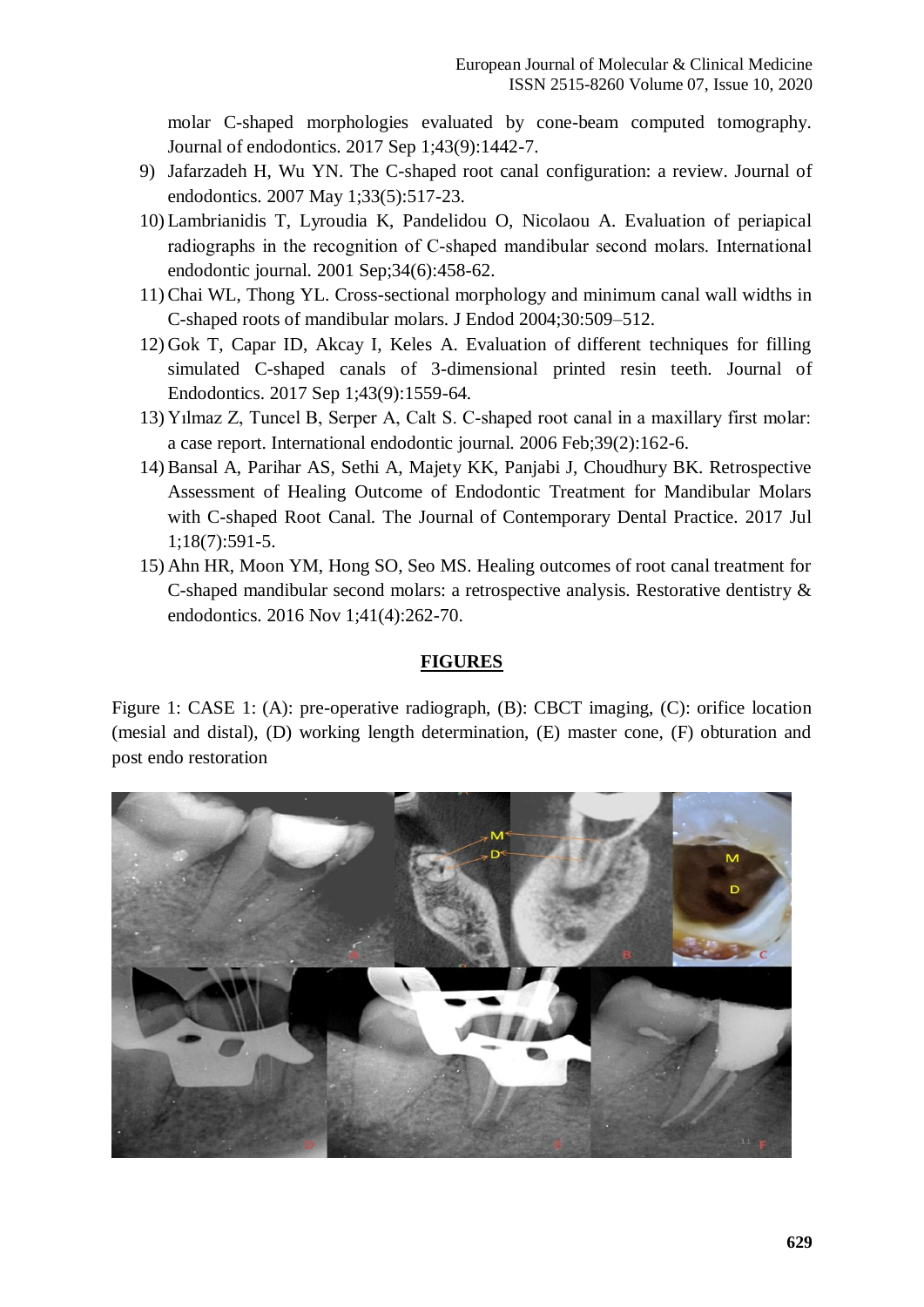molar C-shaped morphologies evaluated by cone-beam computed tomography. Journal of endodontics. 2017 Sep 1;43(9):1442-7.

- 9) Jafarzadeh H, Wu YN. The C-shaped root canal configuration: a review. Journal of endodontics. 2007 May 1;33(5):517-23.
- 10) Lambrianidis T, Lyroudia K, Pandelidou O, Nicolaou A. Evaluation of periapical radiographs in the recognition of C‐shaped mandibular second molars. International endodontic journal. 2001 Sep;34(6):458-62.
- 11) Chai WL, Thong YL. Cross-sectional morphology and minimum canal wall widths in C-shaped roots of mandibular molars. J Endod 2004;30:509–512.
- 12) Gok T, Capar ID, Akcay I, Keles A. Evaluation of different techniques for filling simulated C-shaped canals of 3-dimensional printed resin teeth. Journal of Endodontics. 2017 Sep 1;43(9):1559-64.
- 13) Yılmaz Z, Tuncel B, Serper A, Calt S. C‐shaped root canal in a maxillary first molar: a case report. International endodontic journal. 2006 Feb;39(2):162-6.
- 14) Bansal A, Parihar AS, Sethi A, Majety KK, Panjabi J, Choudhury BK. Retrospective Assessment of Healing Outcome of Endodontic Treatment for Mandibular Molars with C-shaped Root Canal. The Journal of Contemporary Dental Practice. 2017 Jul 1;18(7):591-5.
- 15) Ahn HR, Moon YM, Hong SO, Seo MS. Healing outcomes of root canal treatment for C-shaped mandibular second molars: a retrospective analysis. Restorative dentistry & endodontics. 2016 Nov 1;41(4):262-70.

# **FIGURES**

Figure 1: CASE 1: (A): pre-operative radiograph, (B): CBCT imaging, (C): orifice location (mesial and distal), (D) working length determination, (E) master cone, (F) obturation and post endo restoration